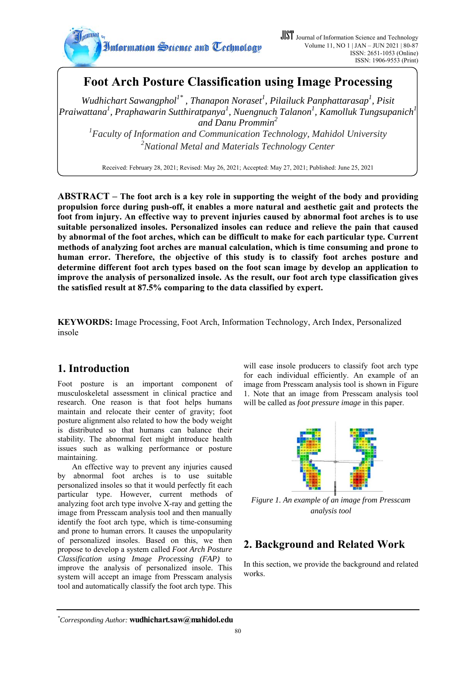

# **Foot Arch Posture Classification using Image Processing**

*Wudhichart Sawangphol<sup>1\*</sup>, Thanapon Noraset<sup>1</sup>, Pilailuck Panphattarasap<sup>1</sup>, Pisit* Praiwattana<sup>1</sup>, Praphawarin Sutthiratpanya<sup>1</sup>, Nuengnuch Talanon<sup>1</sup>, Kamolluk Tungsupanich<sup>1</sup> *and Danu Prommin<sup>2</sup>*

*1 Faculty of Information and Communication Technology, Mahidol University 2 National Metal and Materials Technology Center*

Received: February 28, 2021; Revised: May 26, 2021; Accepted: May 27, 2021; Published: June 25, 2021

**ABSTRACT – The foot arch is a key role in supporting the weight of the body and providing propulsion force during push-off, it enables a more natural and aesthetic gait and protects the foot from injury. An effective way to prevent injuries caused by abnormal foot arches is to use suitable personalized insoles. Personalized insoles can reduce and relieve the pain that caused by abnormal of the foot arches, which can be difficult to make for each particular type. Current methods of analyzing foot arches are manual calculation, which is time consuming and prone to human error. Therefore, the objective of this study is to classify foot arches posture and determine different foot arch types based on the foot scan image by develop an application to improve the analysis of personalized insole. As the result, our foot arch type classification gives the satisfied result at 87.5% comparing to the data classified by expert.** 

**KEYWORDS:** Image Processing, Foot Arch, Information Technology, Arch Index, Personalized insole

# **1. Introduction**

Foot posture is an important component of musculoskeletal assessment in clinical practice and research. One reason is that foot helps humans maintain and relocate their center of gravity; foot posture alignment also related to how the body weight is distributed so that humans can balance their stability. The abnormal feet might introduce health issues such as walking performance or posture maintaining.

An effective way to prevent any injuries caused by abnormal foot arches is to use suitable personalized insoles so that it would perfectly fit each particular type. However, current methods of analyzing foot arch type involve X-ray and getting the image from Presscam analysis tool and then manually identify the foot arch type, which is time-consuming and prone to human errors. It causes the unpopularity of personalized insoles. Based on this, we then propose to develop a system called *Foot Arch Posture Classification using Image Processing (FAP)* to improve the analysis of personalized insole. This system will accept an image from Presscam analysis tool and automatically classify the foot arch type. This

will ease insole producers to classify foot arch type for each individual efficiently. An example of an image from Presscam analysis tool is shown in Figure 1. Note that an image from Presscam analysis tool will be called as *foot pressure image* in this paper.



*Figure 1. An example of an image from Presscam analysis tool* 

# **2. Background and Related Work**

In this section, we provide the background and related works.

*<sup>\*</sup> Corresponding Author:* **wudhichart.saw@mahidol.edu**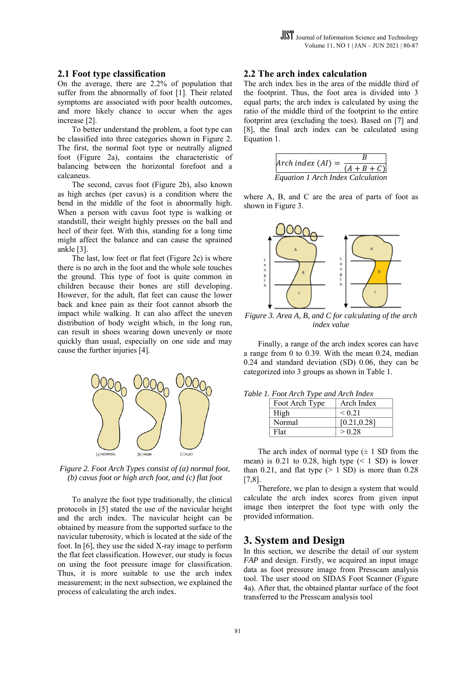#### **2.1 Foot type classification**

On the average, there are 2.2% of population that suffer from the abnormally of foot [1]. Their related symptoms are associated with poor health outcomes, and more likely chance to occur when the ages increase [2].

To better understand the problem, a foot type can be classified into three categories shown in Figure 2. The first, the normal foot type or neutrally aligned foot (Figure 2a), contains the characteristic of balancing between the horizontal forefoot and a calcaneus.

The second, cavus foot (Figure 2b), also known as high arches (per cavus) is a condition where the bend in the middle of the foot is abnormally high. When a person with cavus foot type is walking or standstill, their weight highly presses on the ball and heel of their feet. With this, standing for a long time might affect the balance and can cause the sprained ankle [3].

The last, low feet or flat feet (Figure 2c) is where there is no arch in the foot and the whole sole touches the ground. This type of foot is quite common in children because their bones are still developing. However, for the adult, flat feet can cause the lower back and knee pain as their foot cannot absorb the impact while walking. It can also affect the uneven distribution of body weight which, in the long run, can result in shoes wearing down unevenly or more quickly than usual, especially on one side and may cause the further injuries [4].



*Figure 2. Foot Arch Types consist of (a) normal foot, (b) cavus foot or high arch foot, and (c) flat foot* 

To analyze the foot type traditionally, the clinical protocols in [5] stated the use of the navicular height and the arch index. The navicular height can be obtained by measure from the supported surface to the navicular tuberosity, which is located at the side of the foot. In [6], they use the sided X-ray image to perform the flat feet classification. However, our study is focus on using the foot pressure image for classification. Thus, it is more suitable to use the arch index measurement; in the next subsection, we explained the process of calculating the arch index.

#### **2.2 The arch index calculation**

The arch index lies in the area of the middle third of the footprint. Thus, the foot area is divided into 3 equal parts; the arch index is calculated by using the ratio of the middle third of the footprint to the entire footprint area (excluding the toes). Based on [7] and [8], the final arch index can be calculated using Equation 1.



where A, B, and C are the area of parts of foot as shown in Figure 3.



*Figure 3. Area A, B, and C for calculating of the arch index value* 

Finally, a range of the arch index scores can have a range from 0 to 0.39. With the mean 0.24, median 0.24 and standard deviation (SD) 0.06, they can be categorized into 3 groups as shown in Table 1.

|  |  |  |  | Table 1. Foot Arch Type and Arch Index |  |
|--|--|--|--|----------------------------------------|--|
|--|--|--|--|----------------------------------------|--|

| Foot Arch Type | Arch Index   |
|----------------|--------------|
| High           | ${}_{0.21}$  |
| Normal         | [0.21, 0.28] |
| Flat           | > 0.28       |

The arch index of normal type  $(\pm 1$  SD from the mean) is 0.21 to 0.28, high type  $(< 1$  SD) is lower than 0.21, and flat type  $(> 1$  SD) is more than 0.28  $[7,8]$ .

Therefore, we plan to design a system that would calculate the arch index scores from given input image then interpret the foot type with only the provided information.

#### **3. System and Design**

In this section, we describe the detail of our system *FAP* and design. Firstly, we acquired an input image data as foot pressure image from Presscam analysis tool. The user stood on SIDAS Foot Scanner (Figure 4a). After that, the obtained plantar surface of the foot transferred to the Presscam analysis tool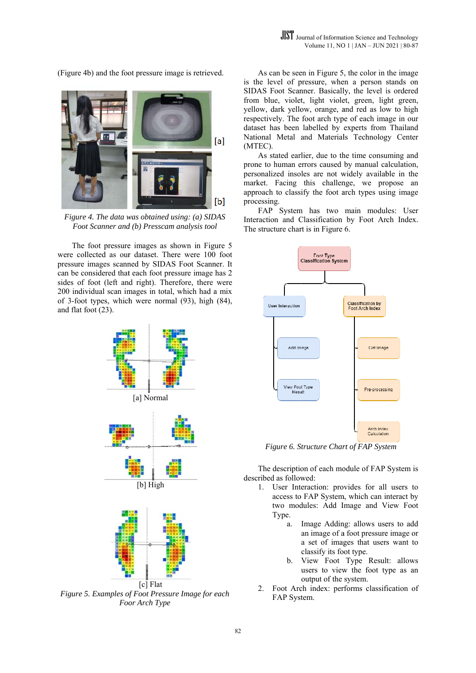$[a]$  $[b]$ 

*Figure* 4. The data was obtained using: (a) SIDAS Foot Scanner and (b) Presscam analysis tool

The foot pressure images as shown in Figure 5 were collected as our dataset. There were 100 foot pressure images scanned by SIDAS Foot Scanner. It can be considered that each foot pressure image has 2 sides of foot (left and right). Therefore, there were 200 individual scan images in total, which had a mix of 3-foot types, which were normal (93), high (84), and flat f foot (23).



*Figure 5. Examples of Foot Pressure Image for each* Foor Arch Type [c] Flat

is the level of pressure, when a person stands on SIDAS Foot Scanner. Basically, the level is ordered from blue, violet, light violet, green, light green, yellow, dark yellow, orange, and red as low to high respectively. The foot arch type of each image in our dataset has been labelled by experts from Thailand National Metal and Materials Technology Center (MTEC). As can be seen in Figure 5, the color in the image

prone to human errors caused by manual calculation, personalized insoles are not widely available in the market. Facing this challenge, we propose an approach to classify the foot arch types using image proc essing. As stated earlier, due to the time consuming and

Interaction and Classification by Foot Arch Index. The structure chart is in Figure 6. FAP System has two main modules: User



*Figure 6. Structure Chart of FAP System* 

described as followed: The description of each module of FAP System is

- 1. User Interaction: provides for all users to access to FAP System, which can interact by two modules: Add Image and View Foot Type.
	- a. Image Adding: allows users to add an image of a foot pressure image or a set of imag ges that users s want to classify its fo ot type.
	- b. View Foot Type Resul t: allows users to view the foot type as an output of the system.
- 2. Foot Arch index: performs classification of FAP System.

(Figure 4b) and the foot pressure image is retrieved.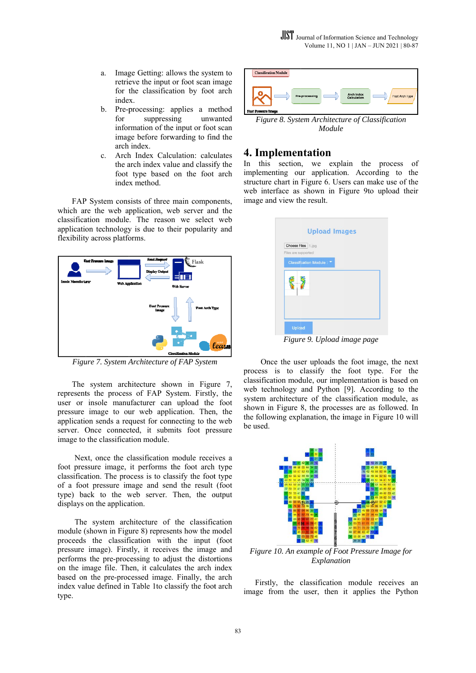- a. Image Getting: allows the system to retrieve the input or foot scan image for the classification by foot arch inde x.
- b. Pre-processing: applies a method for information of the input or foot scan image before forwarding to find the arch index. suppressing ing unw anted
- c. Arch Index Calculation: calculates the arch index value and classify the foot type based on the foot arch inde x method.

FAP System consists of three main components, which are the web application, web server and the classification module. The reason we select web application technology is due to their popularity and flexibility across platforms.



*Figure 7. System Architecture of FAP System* 

The system architecture shown in Figure 7, represents the process of FAP System. Firstly, the user or insole manufacturer can upload the foot pressure image to our web application. Then, the application sends a request for connecting to the web server. Once connected, it submits foot pressure image to the classification module.

Next, once the classification module receives a foot pressure image, it performs the foot arch type classification. The process is to classify the foot type of a foot pressure image and send the result (foot type) back to the web server. Then, the output displays on the application.

The system architecture of the classification module (shown in Figure 8) represents how the model proceeds the classif fication with the input (foot pressure image). Firstly, it receives the image and performs the pre-processing to adjust the distortions on the image file. Then, it calculates the arch index based on the pre-processed image. Finally, the arch index value defined in Table 1to classify the foot arch type.



*Figure 8. System Architecture of Classification Module* 

## **4. Implementation**

In this section, we explain the process of implementing our application. According to the structure chart in Figure 6. Users can make use of the web interface as shown in Figure 9to upload their image and view the result.

| Choose Files 1.jpg<br>Files are supported |  |  |
|-------------------------------------------|--|--|
| Classification Module : ▼                 |  |  |
|                                           |  |  |
|                                           |  |  |
|                                           |  |  |
|                                           |  |  |

**Figure 9. Upload image page** 

process is to classify the foot type. For the classification module, our implementation is based on web technology and Python [9]. According to the system architecture of the classification module, as shown in Figure 8, the processes are as followed. In the following explanation, the image in Figure 10 will be us sed. Once the us er uploads th he foot image , the next



*Figure 10. An example of Foot Pressure Image for* Explanation

Firstly, the classification module receives an image from the user, then it applies the Python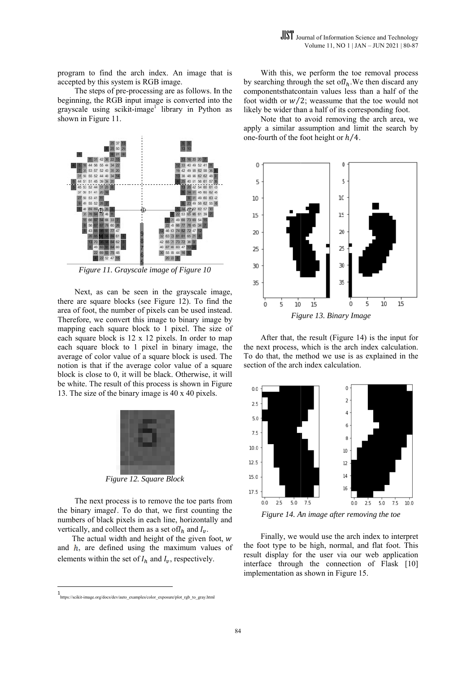program to find the arch index. An image th hat is accepted by this system is RGB image.

The steps of pre-processing are as follows. In the beginning, the RGB input image is converted into the grayscale using scikit-image<sup>1</sup> library in Python as shown in Figure 11.



*Figure 11. Grayscale image of Figure 10* 

Next, as can be seen in the grayscale image, there are square blocks (see Figure 12). To find the area of foot, the number of pixels can be used instead. Therefore, we convert this image to binary image by mapping each square block to 1 pixel. The size of each square block is  $12 \times 12$  pixels. In order to map each square block to 1 pixel in binary image, the average of color value of a square block is used. The notion is that if the average color value of a square block is close to 0, it will be black. Otherwise, it will be white. The result of this process is shown in Figure 13. The size of the binary image is  $40 \times 40$  pixels.



*Figure 12. Square Bl lock*

The next process is to remove the toe parts from the binary imagel. To do that, we first counting the numbers of black pixels in each line, horizontally and vertically, and collect them as a set of  $I_h$  and  $I_v$ .

The actual width and height of the given foot,  $w$ and  $h$ , are defined using the maximum values of elements within the set of  $I_h$  and  $I_v$ , respectively.

by searching through the set of  $I_h$ . We then discard any componentsthatcontain values less than a half of the foot width or  $w/2$ ; weassume that the toe would not likely be wider than a half of its corresponding foot. With this, we perform the toe removal process

apply a similar assumption and limit the search by one-fourth of the foot height or  $h/4$ . Note that to avoid removing the arch area, we



the next process, which is the arch index calculation. To do that, the method we use is as explained in the section of the arch index calculation. After that, the result (Figure 14) is the input for



Figure 14. An image after removing the toe

the foot type to be high, normal, and flat foot. This result display for the user via our web application interface through the connection of Flask [10] implementation as shown in Figure 15. Finally, we would use the arch index to interpret

<sup>1&</sup>lt;br>https://scikit-image.org/docs/dev/auto\_examples/color\_exposure/plot\_rgb\_to\_gray.html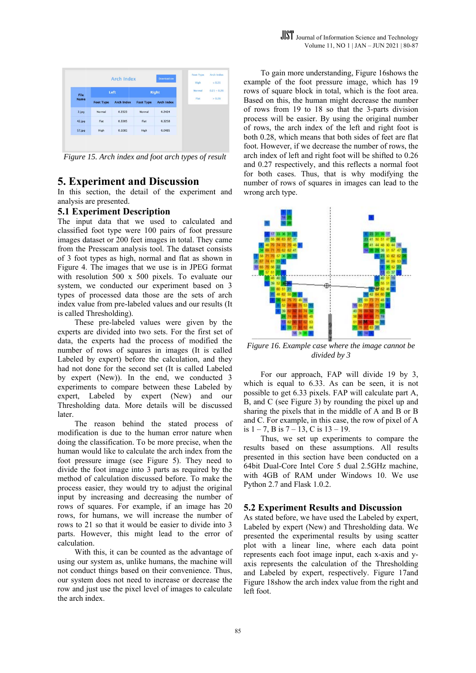

*Figure 15. Arch index and foot arch types of result* 

## **5. Experiment and Discussion**

In this section, the detail of the experiment and analysis are presented.

### **5.1 Experiment Description**

The input data that we used to calculated and classified foot type were 100 pairs of foot pressure images dataset or 200 feet images in total. They came from the Presscam analysis tool. The dataset consists of 3 foot types as high, normal and flat as shown in Figure 4. The images that we use is in JPEG format with resolution  $500 \times 500$  pixels. To evaluate our system, we conducted our experiment based on 3 types of processed data those are the sets of arch index value from pre-labeled values and our results (It is called Thresholding) ).

These pre-labeled values were given by the experts are divided into two sets. For the first set of data, the experts had the process of modified the number of rows of squares in images (It is called Labeled by expert) before the calculation, and they had not done for the second set (It is called Labeled by expert (New)). In the end, we conducted 3 experiments to compare between these Labeled by expert, Labeled by expert (New) and our Thresholding data. More details will be discussed later.

The reason behind the stated process of modification is due to the human error nature when doing the classification. To be more precise, when the human would like to calculate the arch index from the foot pressure image (see Figure 5). They need to divide the foot image into 3 parts as required by the method of calculation discussed before. To make the process easier, they would try to adjust the original input by increasing and decreasing the number of rows of squares. For example, if an image has 20 rows, for humans, we will increase the number of rows to 21 so that it would be easier to divide into 3 parts. However, this might lead to the error of calculation.

With this, it can be counted as the advantage of using our system as, unlike humans, the machine will not conduct things based on their convenience. Thus, our system does not need to increase or decrease the row and just use the pixel level of images to calculate the arch index.

example of the foot pressure image, which has 19 rows of square block in total, which is the foot area. Based on this, the human might decrease the number of rows from 19 to 18 so that the 3-parts division process will be easier. By using the original number of rows, the arch index of the left and right foot is both 0.28, which means that both sides of feet are flat foot. However, if we decrease the number of rows, the arch index of left and right foot will be shifted to 0.26 and 0.27 respectively, and this reflects a normal foot for both cases. Thus, that is why modifying the number of rows of squares in images can lead to the wrong arch type. To gain more understanding, Figure 16 shows the



*Figure 16. Example case where the image cannot be* divided by 3

which is equal to  $6.33$ . As can be seen, it is not possible to get 6.33 pixels. FAP will calculate part A, B, and C (see Figure 3) by rounding the pixel up and sharing the pixels that in the middle of A and B or B and C. For example, in this case, the row of pixel of A is  $1 - 7$ , B is  $7 - 13$ , C is  $13 - 19$ . For our app proach, FAP will divide 19 by 3,

results based on these assumptions. All results presented in this section have been conducted on a 64bi t Dual-Core I Intel Core 5 dual 2.5GHz machine, with 4GB of RAM under Windows 10. We use Python 2.7 and Flask 1.0.2. Thus, we set up experiments to compare the

### **5.2 Experiment Results and Discussion**

As stated before, we have used the Labeled by expert, Labeled by expert (New) and Thresholding data. We presented the experimental results by using scatter plot with a linear line, where each data point represents each foot image input, each x-axis and yaxis represents the calculation of the Thresholding and Labeled by expert, respectively. Figure 17and Figure 18show the arch index value from the right and left f foot.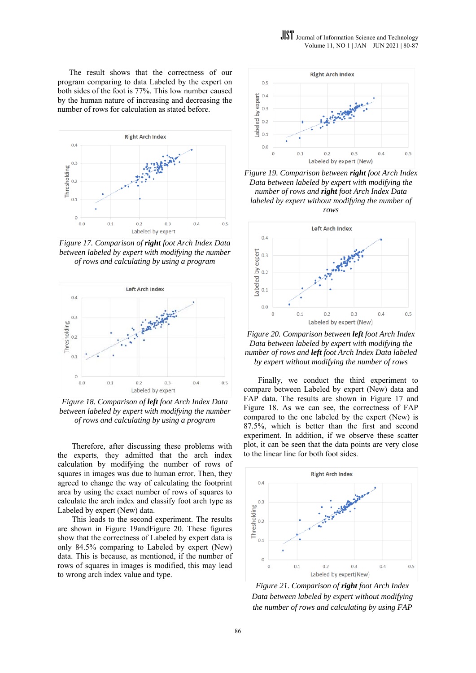The result shows that the correctness of our program comparing to data Labeled by the expert on both sides of the foot is 77%. This low number caused by the human nature of increasing and decreasing the number of rows for calculation as stated before.



*Figure 17. Comparison of right foot Arch Index Data between labeled by expert with modifying the number of rows and calculating by using a program* 



*Figure 18. Comparison of left foot Arch Index Data between labeled by expert with modifying the number of rows and calculating by using a program* 

Therefore, after discussing these problems with the experts, they admitted that the arch index calculation by modifying the number of rows of squares in images was due to human error. Then, they agreed to change the way of calculating the footprint area by using the exact number of rows of squares to calculate the arch index and classify foot arch type as Labeled by expert (New) data.

This leads to the second experiment. The results are shown in Figure 19andFigure 20. These figures show that the correctness of Labeled by expert data is only 84.5% comparing to Labeled by expert (New) data. This is because, as mentioned, if the number of rows of squares in images is modified, this may lead to wrong arch index value and type.



*Figure 19. Comparison between right foot Arch Index Data between labeled by expert with modifying the number of rows and right foot Arch Index Data labeled by expert without modifying the number of rows* 



*Figure 20. Comparison between left foot Arch Index Data between labeled by expert with modifying the number of rows and left foot Arch Index Data labeled by expert without modifying the number of rows* 

Finally, we conduct the third experiment to compare between Labeled by expert (New) data and FAP data. The results are shown in Figure 17 and Figure 18. As we can see, the correctness of FAP compared to the one labeled by the expert (New) is 87.5%, which is better than the first and second experiment. In addition, if we observe these scatter plot, it can be seen that the data points are very close to the linear line for both foot sides.



*Figure 21. Comparison of right foot Arch Index Data between labeled by expert without modifying the number of rows and calculating by using FAP*